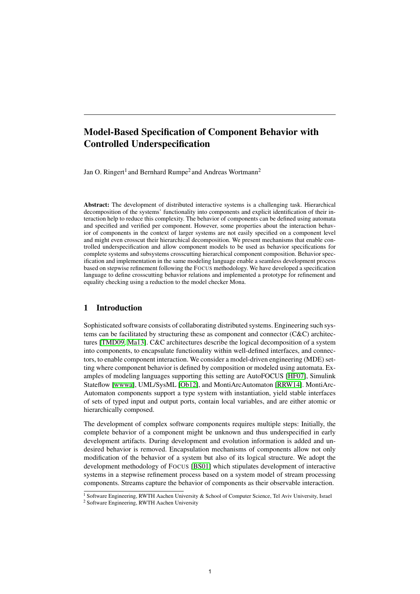# Model-Based Specification of Component Behavior with Controlled Underspecification

Jan O. Ringert<sup>1</sup> and Bernhard Rumpe<sup>2</sup> and Andreas Wortmann<sup>2</sup>

Abstract: The development of distributed interactive systems is a challenging task. Hierarchical decomposition of the systems' functionality into components and explicit identification of their interaction help to reduce this complexity. The behavior of components can be defined using automata and specified and verified per component. However, some properties about the interaction behavior of components in the context of larger systems are not easily specified on a component level and might even crosscut their hierarchical decomposition. We present mechanisms that enable controlled underspecification and allow component models to be used as behavior specifications for complete systems and subsystems crosscutting hierarchical component composition. Behavior specification and implementation in the same modeling language enable a seamless development process based on stepwise refinement following the FOCUS methodology. We have developed a specification language to define crosscutting behavior relations and implemented a prototype for refinement and equality checking using a reduction to the model checker Mona.

# 1 Introduction

Sophisticated software consists of collaborating distributed systems. Engineering such systems can be facilitated by structuring these as component and connector (C&C) architectures [TMD09, Ma13]. C&C architectures describe the logical decomposition of a system into components, to encapsulate functionality within well-defined interfaces, and connectors, to enable component interaction. We consider a model-driven engineering (MDE) setting where component behavior is defined by composition or modeled using automata. Examples of modeling languages supporting this setting are AutoFOCUS [HF07], Simulink Stateflow [wwwa], UML/SysML [Ob12], and MontiArcAutomaton [RRW14]. MontiArc-Automaton components support a type system with instantiation, yield stable interfaces of sets of typed input and output ports, contain local variables, and are either atomic or hierarchically composed.

The development of complex software components requires multiple steps: Initially, the complete behavior of a component might be unknown and thus underspecified in early development artifacts. During development and evolution information is added and undesired behavior is removed. Encapsulation mechanisms of components allow not only modification of the behavior of a system but also of its logical structure. We adopt the development methodology of FOCUS [BS01] which stipulates development of interactive systems in a stepwise refinement process based on a system model of stream processing components. Streams capture the behavior of components as their observable interaction.

<sup>2</sup> Software Engineering, RWTH Aachen University



[RRW16] J. O. Ringert, B. Rumpe, A. Wortmann:

Model-Based Specification of Component Behavior with Controlled Underspecification. In: Modellbasierte Entwicklung eingebetteter Systeme (MBEES'16), pages 1–12. GI, 2016. w.se-rwth.de/publications

<sup>&</sup>lt;sup>1</sup> Software Engineering, RWTH Aachen University & School of Computer Science, Tel Aviv University, Israel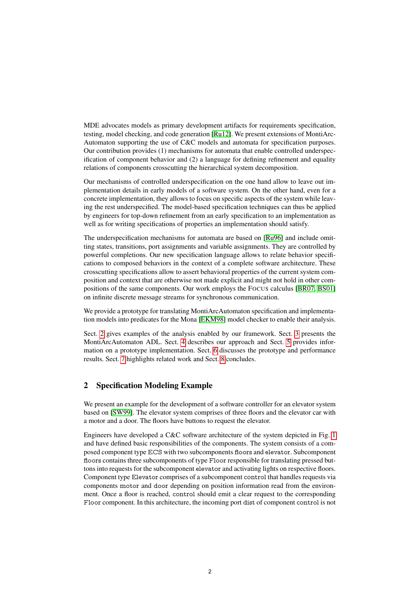MDE advocates models as primary development artifacts for requirements specification, testing, model checking, and code generation [Ru12]. We present extensions of MontiArc-Automaton supporting the use of C&C models and automata for specification purposes. Our contribution provides (1) mechanisms for automata that enable controlled underspecification of component behavior and (2) a language for defining refinement and equality relations of components crosscutting the hierarchical system decomposition.

Our mechanisms of controlled underspecification on the one hand allow to leave out implementation details in early models of a software system. On the other hand, even for a concrete implementation, they allows to focus on specific aspects of the system while leaving the rest underspecified. The model-based specification techniques can thus be applied by engineers for top-down refinement from an early specification to an implementation as well as for writing specifications of properties an implementation should satisfy.

The underspecification mechanisms for automata are based on [Ru96] and include omitting states, transitions, port assignments and variable assignments. They are controlled by powerful completions. Our new specification language allows to relate behavior specifications to composed behaviors in the context of a complete software architecture. These crosscutting specifications allow to assert behavioral properties of the current system composition and context that are otherwise not made explicit and might not hold in other compositions of the same components. Our work employs the FOCUS calculus [BR07, BS01] on infinite discrete message streams for synchronous communication.

We provide a prototype for translating MontiArcAutomaton specification and implementation models into predicates for the Mona [EKM98] model checker to enable their analysis.

Sect. 2 gives examples of the analysis enabled by our framework. Sect. 3 presents the MontiArcAutomaton ADL. Sect. 4 describes our approach and Sect. 5 provides information on a prototype implementation. Sect. 6 discusses the prototype and performance results. Sect. 7 highlights related work and Sect. 8 concludes.

# 2 Specification Modeling Example

We present an example for the development of a software controller for an elevator system based on [SW99]. The elevator system comprises of three floors and the elevator car with a motor and a door. The floors have buttons to request the elevator.

Engineers have developed a C&C software architecture of the system depicted in Fig. 1 and have defined basic responsibilities of the components. The system consists of a composed component type ECS with two subcomponents floors and elevator. Subcomponent floors contains three subcomponents of type Floor responsible for translating pressed buttons into requests for the subcomponent elevator and activating lights on respective floors. Component type Elevator comprises of a subcomponent control that handles requests via components motor and door depending on position information read from the environment. Once a floor is reached, control should emit a clear request to the corresponding Floor component. In this architecture, the incoming port dist of component control is not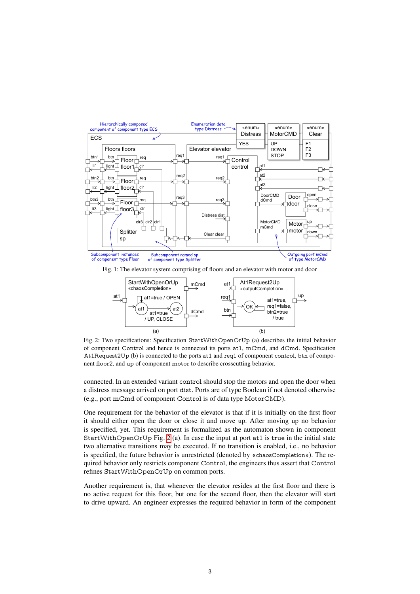

Fig. 1: The elevator system comprising of floors and an elevator with motor and door



Fig. 2: Two specifications: Specification StartWithOpenOrUp (a) describes the initial behavior of component Control and hence is connected its ports at1, mCmd, and dCmd. Specification At1Request2Up (b) is connected to the ports at1 and req1 of component control, btn of component floor2, and up of component motor to describe crosscutting behavior.

connected. In an extended variant control should stop the motors and open the door when a distress message arrived on port dist. Ports are of type Boolean if not denoted otherwise (e.g., port mCmd of component Control is of data type MotorCMD).

One requirement for the behavior of the elevator is that if it is initially on the first floor it should either open the door or close it and move up. After moving up no behavior is specified, yet. This requirement is formalized as the automaton shown in component StartWithOpenOrUp Fig. 2 (a). In case the input at port at1 is true in the initial state two alternative transitions may be executed. If no transition is enabled, i.e., no behavior is specified, the future behavior is unrestricted (denoted by «chaosCompletion»). The required behavior only restricts component Control, the engineers thus assert that Control refines StartWithOpenOrUp on common ports.

Another requirement is, that whenever the elevator resides at the first floor and there is no active request for this floor, but one for the second floor, then the elevator will start to drive upward. An engineer expresses the required behavior in form of the component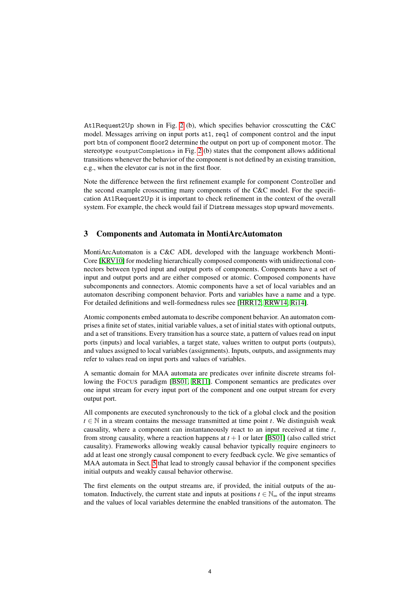At1Request2Up shown in Fig. 2 (b), which specifies behavior crosscutting the C&C model. Messages arriving on input ports at1, req1 of component control and the input port btn of component floor2 determine the output on port up of component motor. The stereotype «outputCompletion» in Fig. 2 (b) states that the component allows additional transitions whenever the behavior of the component is not defined by an existing transition, e.g., when the elevator car is not in the first floor.

Note the difference between the first refinement example for component Controller and the second example crosscutting many components of the C&C model. For the specification At1Request2Up it is important to check refinement in the context of the overall system. For example, the check would fail if Distress messages stop upward movements.

## 3 Components and Automata in MontiArcAutomaton

MontiArcAutomaton is a C&C ADL developed with the language workbench Monti-Core [KRV10] for modeling hierarchically composed components with unidirectional connectors between typed input and output ports of components. Components have a set of input and output ports and are either composed or atomic. Composed components have subcomponents and connectors. Atomic components have a set of local variables and an automaton describing component behavior. Ports and variables have a name and a type. For detailed definitions and well-formedness rules see [HRR12, RRW14, Ri14].

Atomic components embed automata to describe component behavior. An automaton comprises a finite set of states, initial variable values, a set of initial states with optional outputs, and a set of transitions. Every transition has a source state, a pattern of values read on input ports (inputs) and local variables, a target state, values written to output ports (outputs), and values assigned to local variables (assignments). Inputs, outputs, and assignments may refer to values read on input ports and values of variables.

A semantic domain for MAA automata are predicates over infinite discrete streams following the FOCUS paradigm [BS01, RR11]. Component semantics are predicates over one input stream for every input port of the component and one output stream for every output port.

All components are executed synchronously to the tick of a global clock and the position  $t \in \mathbb{N}$  in a stream contains the message transmitted at time point *t*. We distinguish weak causality, where a component can instantaneously react to an input received at time *t*, from strong causality, where a reaction happens at  $t + 1$  or later [BS01] (also called strict causality). Frameworks allowing weakly causal behavior typically require engineers to add at least one strongly causal component to every feedback cycle. We give semantics of MAA automata in Sect. 5 that lead to strongly causal behavior if the component specifies initial outputs and weakly causal behavior otherwise.

The first elements on the output streams are, if provided, the initial outputs of the automaton. Inductively, the current state and inputs at positions  $t \in \mathbb{N}_{\infty}$  of the input streams and the values of local variables determine the enabled transitions of the automaton. The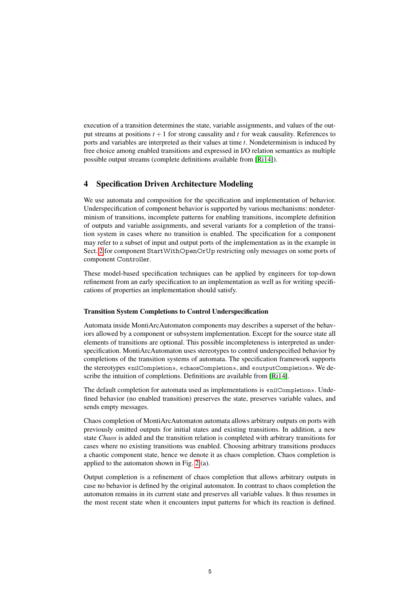execution of a transition determines the state, variable assignments, and values of the output streams at positions  $t + 1$  for strong causality and  $t$  for weak causality. References to ports and variables are interpreted as their values at time *t*. Nondeterminism is induced by free choice among enabled transitions and expressed in I/O relation semantics as multiple possible output streams (complete definitions available from [Ri14]).

## 4 Specification Driven Architecture Modeling

We use automata and composition for the specification and implementation of behavior. Underspecification of component behavior is supported by various mechanisms: nondeterminism of transitions, incomplete patterns for enabling transitions, incomplete definition of outputs and variable assignments, and several variants for a completion of the transition system in cases where no transition is enabled. The specification for a component may refer to a subset of input and output ports of the implementation as in the example in Sect. 2 for component StartWithOpenOrUp restricting only messages on some ports of component Controller.

These model-based specification techniques can be applied by engineers for top-down refinement from an early specification to an implementation as well as for writing specifications of properties an implementation should satisfy.

#### Transition System Completions to Control Underspecification

Automata inside MontiArcAutomaton components may describes a superset of the behaviors allowed by a component or subsystem implementation. Except for the source state all elements of transitions are optional. This possible incompleteness is interpreted as underspecification. MontiArcAutomaton uses stereotypes to control underspecified behavior by completions of the transition systems of automata. The specification framework supports the stereotypes «nilCompletion», «chaosCompletion», and «outputCompletion». We describe the intuition of completions. Definitions are available from [Ri14].

The default completion for automata used as implementations is «nilCompletion». Undefined behavior (no enabled transition) preserves the state, preserves variable values, and sends empty messages.

Chaos completion of MontiArcAutomaton automata allows arbitrary outputs on ports with previously omitted outputs for initial states and existing transitions. In addition, a new state *Chaos* is added and the transition relation is completed with arbitrary transitions for cases where no existing transitions was enabled. Choosing arbitrary transitions produces a chaotic component state, hence we denote it as chaos completion. Chaos completion is applied to the automaton shown in Fig. 2 (a).

Output completion is a refinement of chaos completion that allows arbitrary outputs in case no behavior is defined by the original automaton. In contrast to chaos completion the automaton remains in its current state and preserves all variable values. It thus resumes in the most recent state when it encounters input patterns for which its reaction is defined.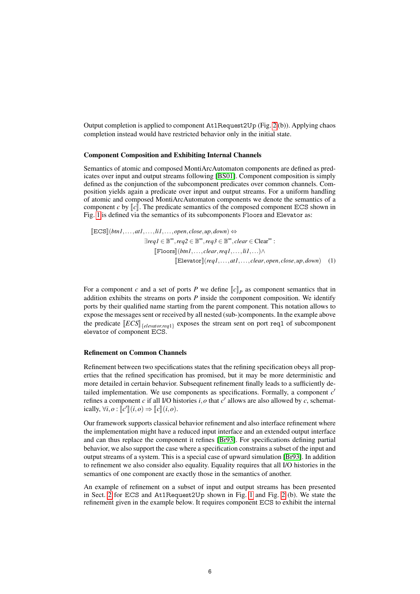Output completion is applied to component At1Request2Up (Fig. 2 (b)). Applying chaos completion instead would have restricted behavior only in the initial state.

#### Component Composition and Exhibiting Internal Channels

Semantics of atomic and composed MontiArcAutomaton components are defined as predicates over input and output streams following [BS01]. Component composition is simply defined as the conjunction of the subcomponent predicates over common channels. Composition yields again a predicate over input and output streams. For a uniform handling of atomic and composed MontiArcAutomaton components we denote the semantics of a component *c* by  $\llbracket c \rrbracket$ . The predicate semantics of the composed component ECS shown in Fig. 1 is defined via the semantics of its subcomponents Floors and Elevator as:

$$
\begin{aligned} [\mathbb{E} \mathbb{C} \mathbb{S}](btn1, \dots, att, \dots, lipen, close, up, down) &\Leftrightarrow \\ \exists req1 \in \mathbb{B}^{\infty}, req2 \in \mathbb{B}^{\infty}, req3 \in \mathbb{B}^{\infty}, clear \in \mathbb{C}lear^{\infty} : \\ [\mathbb{F} \mathbf{loors}](btn1, \dots, clear, req1, \dots, li1, \dots) \wedge \\ [\mathbb{E} \mathbf{levator}](req1, \dots, att, \dots, clear, open, close, up, down) \end{aligned} \tag{1}
$$

For a component *c* and a set of ports *P* we define  $\llbracket c \rrbracket_P$  as component semantics that in addition exhibits the streams on ports *P* inside the component composition. We identify addition exhibits the streams on ports *P* inside the component composition. We identify ports by their qualified name starting from the parent component. This notation allows to expose the messages sent or received by all nested (sub-)components. In the example above the predicate  $\left[ECS\right]_{\{elevator,req1\}}$  exposes the stream sent on port req1 of subcomponent<br>elevator of component  $FCS$ elevator of component ECS.

#### Refinement on Common Channels

Refinement between two specifications states that the refining specification obeys all properties that the refined specification has promised, but it may be more deterministic and more detailed in certain behavior. Subsequent refinement finally leads to a sufficiently detailed implementation. We use components as specifications. Formally, a component  $c'$ refines a component  $c$  if all I/O histories  $i$ ,  $o$  that  $c'$  allows are also allowed by  $c$ , schematically,  $\forall i, o : [c'] \ (i, o) \Rightarrow [c] \ (i, o).$ 

Our framework supports classical behavior refinement and also interface refinement where the implementation might have a reduced input interface and an extended output interface and can thus replace the component it refines [Br93]. For specifications defining partial behavior, we also support the case where a specification constrains a subset of the input and output streams of a system. This is a special case of upward simulation [Br93]. In addition to refinement we also consider also equality. Equality requires that all I/O histories in the semantics of one component are exactly those in the semantics of another.

An example of refinement on a subset of input and output streams has been presented in Sect. 2 for ECS and At1Request2Up shown in Fig. 1 and Fig. 2 (b). We state the refinement given in the example below. It requires component ECS to exhibit the internal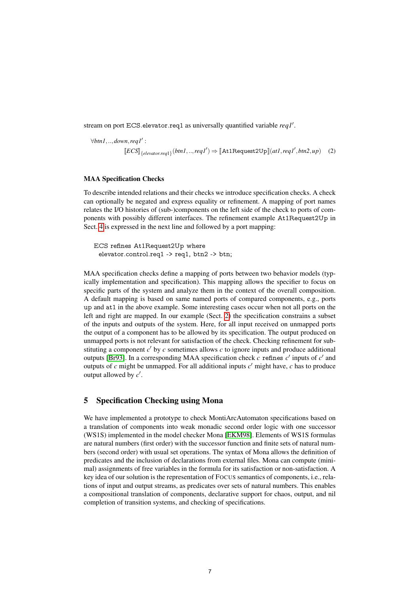stream on port ECS.elevator.req1 as universally quantified variable req1'.

∀*btn1*,..,*down*,*req1*<sup>0</sup> :  $[ECS]$ <sub>{elevator.req1}</sub>(btn1,..,*req1'*)  $\Rightarrow$  [At1Request2Up](*at1,req1',btn2,up*) (2)

#### MAA Specification Checks

To describe intended relations and their checks we introduce specification checks. A check can optionally be negated and express equality or refinement. A mapping of port names relates the I/O histories of (sub-)components on the left side of the check to ports of components with possibly different interfaces. The refinement example At1Request2Up in Sect. 4 is expressed in the next line and followed by a port mapping:

ECS refines At1Request2Up where elevator.control.req1 -> req1, btn2 -> btn;

MAA specification checks define a mapping of ports between two behavior models (typically implementation and specification). This mapping allows the specifier to focus on specific parts of the system and analyze them in the context of the overall composition. A default mapping is based on same named ports of compared components, e.g., ports up and at1 in the above example. Some interesting cases occur when not all ports on the left and right are mapped. In our example (Sect. 2) the specification constrains a subset of the inputs and outputs of the system. Here, for all input received on unmapped ports the output of a component has to be allowed by its specification. The output produced on unmapped ports is not relevant for satisfaction of the check. Checking refinement for substituting a component  $c'$  by  $c$  sometimes allows  $c$  to ignore inputs and produce additional outputs [Br93]. In a corresponding MAA specification check  $c$  refines  $c'$  inputs of  $c'$  and outputs of  $c$  might be unmapped. For all additional inputs  $c'$  might have,  $c$  has to produce output allowed by  $c'$ .

# 5 Specification Checking using Mona

We have implemented a prototype to check MontiArcAutomaton specifications based on a translation of components into weak monadic second order logic with one successor (WS1S) implemented in the model checker Mona [EKM98]. Elements of WS1S formulas are natural numbers (first order) with the successor function and finite sets of natural numbers (second order) with usual set operations. The syntax of Mona allows the definition of predicates and the inclusion of declarations from external files. Mona can compute (minimal) assignments of free variables in the formula for its satisfaction or non-satisfaction. A key idea of our solution is the representation of FOCUS semantics of components, i.e., relations of input and output streams, as predicates over sets of natural numbers. This enables a compositional translation of components, declarative support for chaos, output, and nil completion of transition systems, and checking of specifications.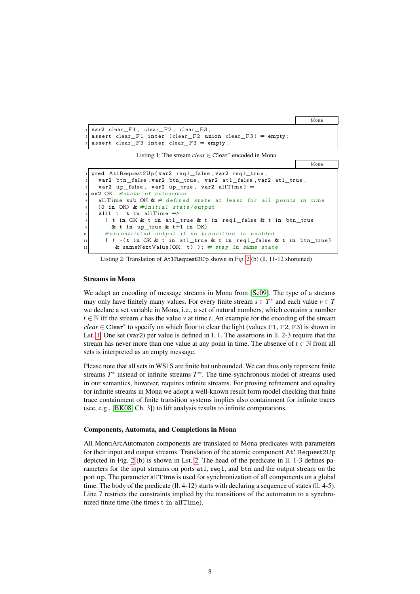Mona

```
var2 clear<sub>[F1</sub>, clear<sub>[F2</sub>, clear<sub>[F3</sub>;
assert clear_F1 inter (clear_F2 union clear_F3) = empty;
\overline{\text{assert}} clear F3 inter clear F3 = empty;
```
Listing 1: The stream *clear* ∈ Clear<sup>∗</sup> encoded in Mona



Listing 2: Translation of At1Request2Up shown in Fig. 2 (b) (ll. 11-12 shortened)

#### Streams in Mona

We adapt an encoding of message streams in Mona from [Sc09]. The type of a streams may only have finitely many values. For every finite stream  $s \in T^*$  and each value  $v \in T$ we declare a set variable in Mona, i.e., a set of natural numbers, which contains a number *t* ∈ N iff the stream *s* has the value *v* at time *t*. An example for the encoding of the stream *clear* ∈ Clear<sup>\*</sup> to specify on which floor to clear the light (values F1, F2, F3) is shown in Lst. 1. One set (var2) per value is defined in l. 1. The assertions in ll. 2-3 require that the stream has never more than one value at any point in time. The absence of  $t \in \mathbb{N}$  from all sets is interpreted as an empty message.

Please note that all sets in WS1S are finite but unbounded. We can thus only represent finite streams *T*<sup>\*</sup> instead of infinite streams *T*<sup>∞</sup>. The time-synchronous model of streams used in our semantics, however, requires infinite streams. For proving refinement and equality for infinite streams in Mona we adopt a well-known result form model checking that finite trace containment of finite transition systems implies also containment for infinite traces (see, e.g., [BK08, Ch. 3]) to lift analysis results to infinite computations.

#### Components, Automata, and Completions in Mona

All MontiArcAutomaton components are translated to Mona predicates with parameters for their input and output streams. Translation of the atomic component At1Request2Up depicted in Fig. 2 (b) is shown in Lst. 2. The head of the predicate in ll. 1-3 defines parameters for the input streams on ports at1, req1, and btn and the output stream on the port up. The parameter allTime is used for synchronization of all components on a global time. The body of the predicate (ll. 4-12) starts with declaring a sequence of states (ll. 4-5). Line 7 restricts the constraints implied by the transitions of the automaton to a synchronized finite time (the times t in allTime).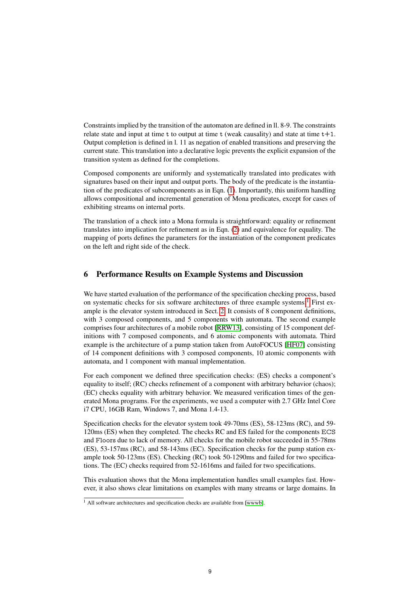Constraints implied by the transition of the automaton are defined in ll. 8-9. The constraints relate state and input at time  $t$  to output at time  $t$  (weak causality) and state at time  $t+1$ . Output completion is defined in l. 11 as negation of enabled transitions and preserving the current state. This translation into a declarative logic prevents the explicit expansion of the transition system as defined for the completions.

Composed components are uniformly and systematically translated into predicates with signatures based on their input and output ports. The body of the predicate is the instantiation of the predicates of subcomponents as in Eqn. (1). Importantly, this uniform handling allows compositional and incremental generation of Mona predicates, except for cases of exhibiting streams on internal ports.

The translation of a check into a Mona formula is straightforward: equality or refinement translates into implication for refinement as in Eqn. (2) and equivalence for equality. The mapping of ports defines the parameters for the instantiation of the component predicates on the left and right side of the check.

# 6 Performance Results on Example Systems and Discussion

We have started evaluation of the performance of the specification checking process, based on systematic checks for six software architectures of three example systems:<sup>1</sup> First example is the elevator system introduced in Sect. 2. It consists of 8 component definitions, with 3 composed components, and 5 components with automata. The second example comprises four architectures of a mobile robot [RRW13], consisting of 15 component definitions with 7 composed components, and 6 atomic components with automata. Third example is the architecture of a pump station taken from AutoFOCUS [HF07] consisting of 14 component definitions with 3 composed components, 10 atomic components with automata, and 1 component with manual implementation.

For each component we defined three specification checks: (ES) checks a component's equality to itself; (RC) checks refinement of a component with arbitrary behavior (chaos); (EC) checks equality with arbitrary behavior. We measured verification times of the generated Mona programs. For the experiments, we used a computer with 2.7 GHz Intel Core i7 CPU, 16GB Ram, Windows 7, and Mona 1.4-13.

Specification checks for the elevator system took 49-70ms (ES), 58-123ms (RC), and 59- 120ms (ES) when they completed. The checks RC and ES failed for the components ECS and Floors due to lack of memory. All checks for the mobile robot succeeded in 55-78ms (ES), 53-157ms (RC), and 58-143ms (EC). Specification checks for the pump station example took 50-123ms (ES). Checking (RC) took 50-1290ms and failed for two specifications. The (EC) checks required from 52-1616ms and failed for two specifications.

This evaluation shows that the Mona implementation handles small examples fast. However, it also shows clear limitations on examples with many streams or large domains. In

 $\frac{1}{1}$  All software architectures and specification checks are available from [wwwb].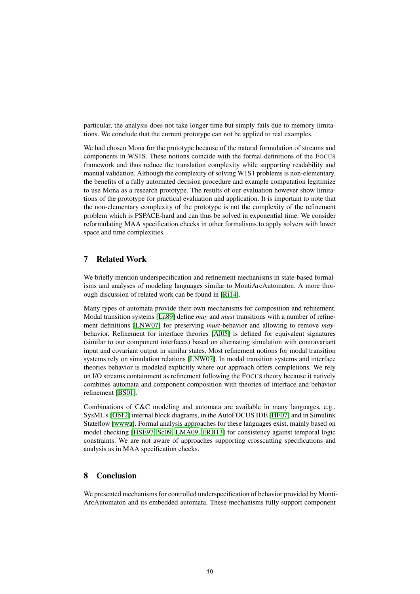particular, the analysis does not take longer time but simply fails due to memory limitations. We conclude that the current prototype can not be applied to real examples.

We had chosen Mona for the prototype because of the natural formulation of streams and components in WS1S. These notions coincide with the formal definitions of the FOCUS framework and thus reduce the translation complexity while supporting readability and manual validation. Although the complexity of solving W1S1 problems is non-elementary, the benefits of a fully automated decision procedure and example computation legitimize to use Mona as a research prototype. The results of our evaluation however show limitations of the prototype for practical evaluation and application. It is important to note that the non-elementary complexity of the prototype is not the complexity of the refinement problem which is PSPACE-hard and can thus be solved in exponential time. We consider reformulating MAA specification checks in other formalisms to apply solvers with lower space and time complexities.

# 7 Related Work

We briefly mention underspecification and refinement mechanisms in state-based formalisms and analyses of modeling languages similar to MontiArcAutomaton. A more thorough discussion of related work can be found in [Ri14].

Many types of automata provide their own mechanisms for composition and refinement. Modal transition systems [La89] define *may* and *must* transitions with a number of refinement definitions [LNW07] for preserving *must*-behavior and allowing to remove *may*behavior. Refinement for interface theories [Al05] is defined for equivalent signatures (similar to our component interfaces) based on alternating simulation with contravariant input and covariant output in similar states. Most refinement notions for modal transition systems rely on simulation relations [LNW07]. In modal transition systems and interface theories behavior is modeled explicitly where our approach offers completions. We rely on I/O streams containment as refinement following the FOCUS theory because it natively combines automata and component composition with theories of interface and behavior refinement [BS01].

Combinations of C&C modeling and automata are available in many languages, e.g., SysML's [Ob12] internal block diagrams, in the AutoFOCUS IDE [HF07] and in Simulink Stateflow [wwwa]. Formal analysis approaches for these languages exist, mainly based on model checking [HSE97, Sc09, LMÁ09, ERB13] for consistency against temporal logic constraints. We are not aware of approaches supporting crosscutting specifications and analysis as in MAA specification checks.

## 8 Conclusion

We presented mechanisms for controlled underspecification of behavior provided by Monti-ArcAutomaton and its embedded automata. These mechanisms fully support component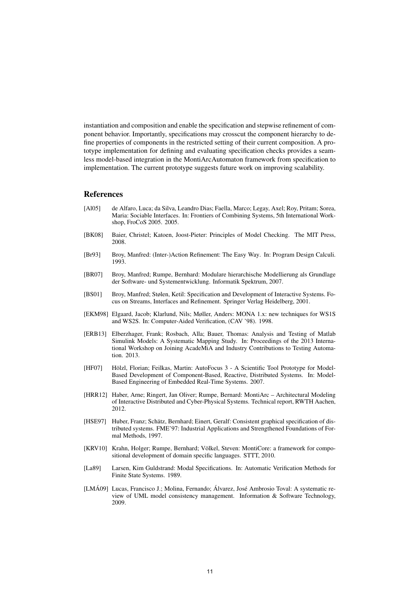instantiation and composition and enable the specification and stepwise refinement of component behavior. Importantly, specifications may crosscut the component hierarchy to define properties of components in the restricted setting of their current composition. A prototype implementation for defining and evaluating specification checks provides a seamless model-based integration in the MontiArcAutomaton framework from specification to implementation. The current prototype suggests future work on improving scalability.

#### **References**

- [Al05] de Alfaro, Luca; da Silva, Leandro Dias; Faella, Marco; Legay, Axel; Roy, Pritam; Sorea, Maria: Sociable Interfaces. In: Frontiers of Combining Systems, 5th International Workshop, FroCoS 2005. 2005.
- [BK08] Baier, Christel; Katoen, Joost-Pieter: Principles of Model Checking. The MIT Press, 2008.
- [Br93] Broy, Manfred: (Inter-)Action Refinement: The Easy Way. In: Program Design Calculi. 1993.
- [BR07] Broy, Manfred; Rumpe, Bernhard: Modulare hierarchische Modellierung als Grundlage der Software- und Systementwicklung. Informatik Spektrum, 2007.
- [BS01] Broy, Manfred; Stølen, Ketil: Specification and Development of Interactive Systems. Focus on Streams, Interfaces and Refinement. Springer Verlag Heidelberg, 2001.
- [EKM98] Elgaard, Jacob; Klarlund, Nils; Møller, Anders: MONA 1.x: new techniques for WS1S and WS2S. In: Computer-Aided Verification, (CAV '98). 1998.
- [ERB13] Elberzhager, Frank; Rosbach, Alla; Bauer, Thomas: Analysis and Testing of Matlab Simulink Models: A Systematic Mapping Study. In: Proceedings of the 2013 International Workshop on Joining AcadeMiA and Industry Contributions to Testing Automation. 2013.
- [HF07] Hölzl, Florian; Feilkas, Martin: AutoFocus 3 A Scientific Tool Prototype for Model-Based Development of Component-Based, Reactive, Distributed Systems. In: Model-Based Engineering of Embedded Real-Time Systems. 2007.
- [HRR12] Haber, Arne; Ringert, Jan Oliver; Rumpe, Bernard: MontiArc Architectural Modeling of Interactive Distributed and Cyber-Physical Systems. Technical report, RWTH Aachen, 2012.
- [HSE97] Huber, Franz; Schätz, Bernhard; Einert, Geralf: Consistent graphical specification of distributed systems. FME'97: Industrial Applications and Strengthened Foundations of Formal Methods, 1997.
- [KRV10] Krahn, Holger; Rumpe, Bernhard; Völkel, Steven: MontiCore: a framework for compositional development of domain specific languages. STTT, 2010.
- [La89] Larsen, Kim Guldstrand: Modal Specifications. In: Automatic Verification Methods for Finite State Systems. 1989.
- [LMÁ09] Lucas, Francisco J.; Molina, Fernando; Álvarez, José Ambrosio Toval: A systematic review of UML model consistency management. Information & Software Technology, 2009.